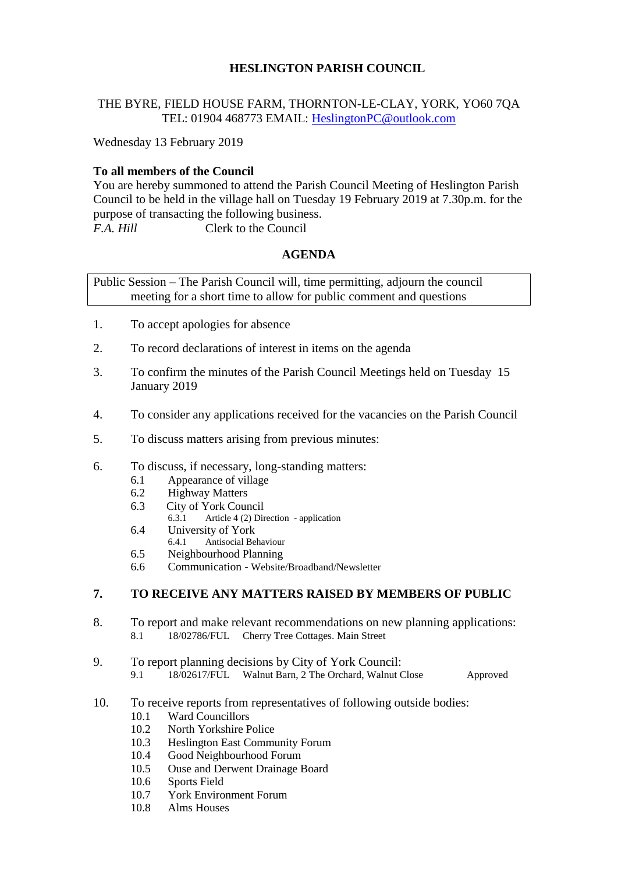# **HESLINGTON PARISH COUNCIL**

## THE BYRE, FIELD HOUSE FARM, THORNTON-LE-CLAY, YORK, YO60 7QA TEL: 01904 468773 EMAIL: [HeslingtonPC@outlook.com](mailto:HeslingtonPC@outlook.com)

Wednesday 13 February 2019

## **To all members of the Council**

You are hereby summoned to attend the Parish Council Meeting of Heslington Parish Council to be held in the village hall on Tuesday 19 February 2019 at 7.30p.m. for the purpose of transacting the following business. *F.A. Hill* Clerk to the Council

## **AGENDA**

Public Session – The Parish Council will, time permitting, adjourn the council meeting for a short time to allow for public comment and questions

- 1. To accept apologies for absence
- 2. To record declarations of interest in items on the agenda
- 3. To confirm the minutes of the Parish Council Meetings held on Tuesday 15 January 2019
- 4. To consider any applications received for the vacancies on the Parish Council
- 5. To discuss matters arising from previous minutes:
- 6. To discuss, if necessary, long-standing matters:
	- 6.1 Appearance of village
	- 6.2 Highway Matters
	- 6.3 City of York Council<br>6.3.1 Article 4.(2) Dir
		- Article 4 (2) Direction application
	- 6.4 University of York
	- 6.4.1 Antisocial Behaviour
	- 6.5 Neighbourhood Planning
	- 6.6 Communication Website/Broadband/Newsletter

# **7. TO RECEIVE ANY MATTERS RAISED BY MEMBERS OF PUBLIC**

- 8. To report and make relevant recommendations on new planning applications: 8.1 18/02786/FUL Cherry Tree Cottages. Main Street
- 9. To report planning decisions by City of York Council:
	- 9.1 18/02617/FUL Walnut Barn, 2 The Orchard, Walnut Close Approved
- 10. To receive reports from representatives of following outside bodies:
	- 10.1 Ward Councillors
	- 10.2 North Yorkshire Police
	- 10.3 Heslington East Community Forum
	- 10.4 Good Neighbourhood Forum
	- 10.5 Ouse and Derwent Drainage Board
	- 10.6 Sports Field
	- 10.7 York Environment Forum
	- 10.8 Alms Houses